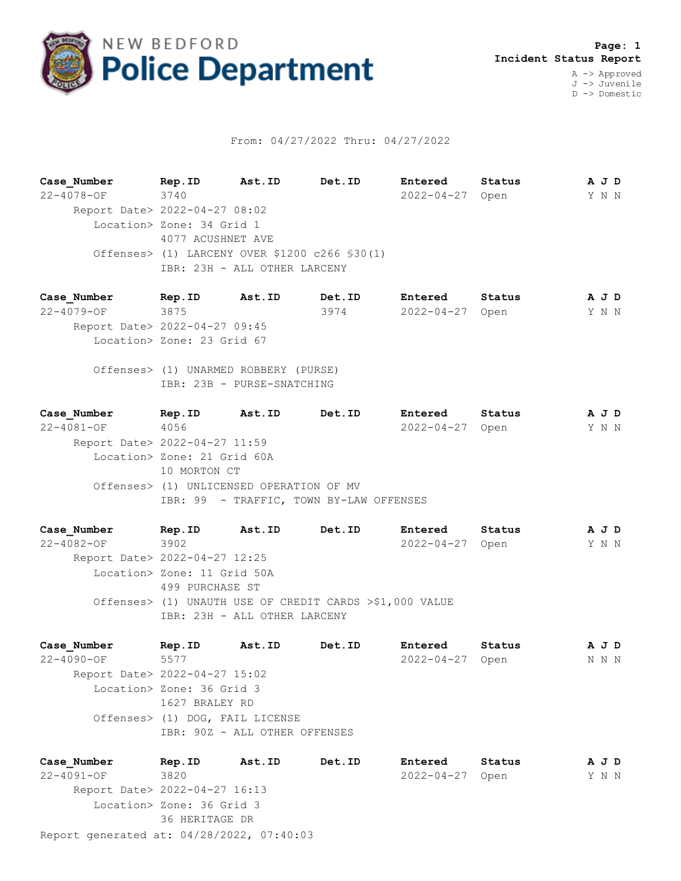

## From: 04/27/2022 Thru: 04/27/2022

**Case\_Number Rep.ID Ast.ID Det.ID Entered Status A J D** 22-4078-OF 3740 2022-04-27 Open Y N N Report Date> 2022-04-27 08:02 Location> Zone: 34 Grid 1 4077 ACUSHNET AVE Offenses> (1) LARCENY OVER \$1200 c266 §30(1) IBR: 23H - ALL OTHER LARCENY

**Case\_Number Rep.ID Ast.ID Det.ID Entered Status A J D** 22-4079-OF 3875 3974 2022-04-27 Open Y N N Report Date> 2022-04-27 09:45 Location> Zone: 23 Grid 67

 Offenses> (1) UNARMED ROBBERY (PURSE) IBR: 23B - PURSE-SNATCHING

**Case\_Number Rep.ID Ast.ID Det.ID Entered Status A J D** 22-4081-OF 4056 2022-04-27 Open Y N N Report Date> 2022-04-27 11:59 Location> Zone: 21 Grid 60A 10 MORTON CT Offenses> (1) UNLICENSED OPERATION OF MV IBR: 99 - TRAFFIC, TOWN BY-LAW OFFENSES

**Case\_Number Rep.ID Ast.ID Det.ID Entered Status A J D** 22-4082-OF 3902 2022-04-27 Open Y N N Report Date> 2022-04-27 12:25 Location> Zone: 11 Grid 50A 499 PURCHASE ST Offenses> (1) UNAUTH USE OF CREDIT CARDS >\$1,000 VALUE IBR: 23H - ALL OTHER LARCENY

**Case\_Number Rep.ID Ast.ID Det.ID Entered Status A J D** 22-4090-OF 5577 2022-04-27 Open N N N Report Date> 2022-04-27 15:02 Location> Zone: 36 Grid 3 1627 BRALEY RD Offenses> (1) DOG, FAIL LICENSE IBR: 90Z - ALL OTHER OFFENSES

Report generated at: 04/28/2022, 07:40:03 **Case\_Number Rep.ID Ast.ID Det.ID Entered Status A J D** 22-4091-OF 3820 2022-04-27 Open Y N N Report Date> 2022-04-27 16:13 Location> Zone: 36 Grid 3 36 HERITAGE DR